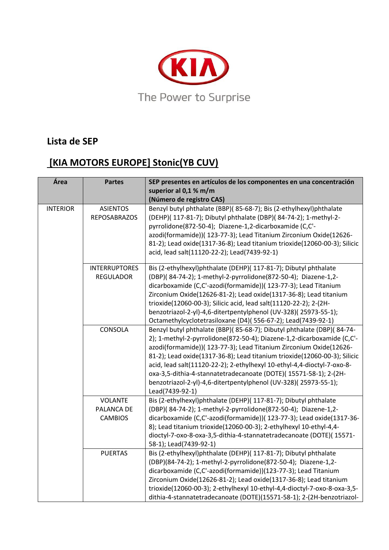

## **Lista de SEP**

## **[KIA MOTORS EUROPE] Stonic(YB CUV)**

| Área            | <b>Partes</b>                                  | SEP presentes en artículos de los componentes en una concentración<br>superior al 0,1 % m/m<br>(Número de registro CAS)                                                                                                                                                                                                                                                                                                                                                                                                                 |
|-----------------|------------------------------------------------|-----------------------------------------------------------------------------------------------------------------------------------------------------------------------------------------------------------------------------------------------------------------------------------------------------------------------------------------------------------------------------------------------------------------------------------------------------------------------------------------------------------------------------------------|
| <b>INTERIOR</b> | <b>ASIENTOS</b><br><b>REPOSABRAZOS</b>         | Benzyl butyl phthalate (BBP)(85-68-7); Bis (2-ethylhexyl)phthalate<br>(DEHP)( 117-81-7); Dibutyl phthalate (DBP)( 84-74-2); 1-methyl-2-<br>pyrrolidone(872-50-4); Diazene-1,2-dicarboxamide (C,C'-<br>azodi(formamide))( 123-77-3); Lead Titanium Zirconium Oxide(12626-<br>81-2); Lead oxide(1317-36-8); Lead titanium trioxide(12060-00-3); Silicic<br>acid, lead salt(11120-22-2); Lead(7439-92-1)                                                                                                                                   |
|                 | <b>INTERRUPTORES</b><br><b>REGULADOR</b>       | Bis (2-ethylhexyl)phthalate (DEHP)( 117-81-7); Dibutyl phthalate<br>(DBP)(84-74-2); 1-methyl-2-pyrrolidone(872-50-4); Diazene-1,2-<br>dicarboxamide (C,C'-azodi(formamide))( 123-77-3); Lead Titanium<br>Zirconium Oxide(12626-81-2); Lead oxide(1317-36-8); Lead titanium<br>trioxide(12060-00-3); Silicic acid, lead salt(11120-22-2); 2-(2H-<br>benzotriazol-2-yl)-4,6-ditertpentylphenol (UV-328)(25973-55-1);<br>Octamethylcyclotetrasiloxane (D4)(556-67-2); Lead(7439-92-1)                                                      |
|                 | CONSOLA                                        | Benzyl butyl phthalate (BBP)(85-68-7); Dibutyl phthalate (DBP)(84-74-<br>2); 1-methyl-2-pyrrolidone(872-50-4); Diazene-1,2-dicarboxamide (C,C'-<br>azodi(formamide))( 123-77-3); Lead Titanium Zirconium Oxide(12626-<br>81-2); Lead oxide(1317-36-8); Lead titanium trioxide(12060-00-3); Silicic<br>acid, lead salt(11120-22-2); 2-ethylhexyl 10-ethyl-4,4-dioctyl-7-oxo-8-<br>oxa-3,5-dithia-4-stannatetradecanoate (DOTE)(15571-58-1); 2-(2H-<br>benzotriazol-2-yl)-4,6-ditertpentylphenol (UV-328)(25973-55-1);<br>Lead(7439-92-1) |
|                 | <b>VOLANTE</b><br>PALANCA DE<br><b>CAMBIOS</b> | Bis (2-ethylhexyl)phthalate (DEHP)( 117-81-7); Dibutyl phthalate<br>(DBP)(84-74-2); 1-methyl-2-pyrrolidone(872-50-4); Diazene-1,2-<br>dicarboxamide (C,C'-azodi(formamide))( 123-77-3); Lead oxide(1317-36-<br>8); Lead titanium trioxide(12060-00-3); 2-ethylhexyl 10-ethyl-4,4-<br>dioctyl-7-oxo-8-oxa-3,5-dithia-4-stannatetradecanoate (DOTE)( 15571-<br>58-1); Lead(7439-92-1)                                                                                                                                                     |
|                 | <b>PUERTAS</b>                                 | Bis (2-ethylhexyl)phthalate (DEHP)( 117-81-7); Dibutyl phthalate<br>(DBP)(84-74-2); 1-methyl-2-pyrrolidone(872-50-4); Diazene-1,2-<br>dicarboxamide (C,C'-azodi(formamide))(123-77-3); Lead Titanium<br>Zirconium Oxide(12626-81-2); Lead oxide(1317-36-8); Lead titanium<br>trioxide(12060-00-3); 2-ethylhexyl 10-ethyl-4,4-dioctyl-7-oxo-8-oxa-3,5-<br>dithia-4-stannatetradecanoate (DOTE)(15571-58-1); 2-(2H-benzotriazol-                                                                                                          |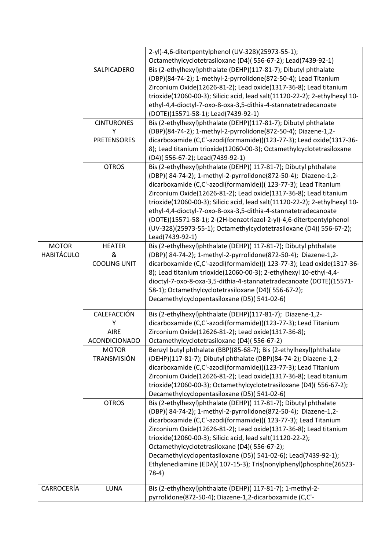|                   |                                                         | 2-yl)-4,6-ditertpentylphenol (UV-328)(25973-55-1);<br>Octamethylcyclotetrasiloxane (D4)(556-67-2); Lead(7439-92-1)                                                                                                                                                                                                                                                                                                                                                                                                                                                                           |
|-------------------|---------------------------------------------------------|----------------------------------------------------------------------------------------------------------------------------------------------------------------------------------------------------------------------------------------------------------------------------------------------------------------------------------------------------------------------------------------------------------------------------------------------------------------------------------------------------------------------------------------------------------------------------------------------|
|                   | SALPICADERO                                             | Bis (2-ethylhexyl)phthalate (DEHP)(117-81-7); Dibutyl phthalate<br>(DBP)(84-74-2); 1-methyl-2-pyrrolidone(872-50-4); Lead Titanium<br>Zirconium Oxide(12626-81-2); Lead oxide(1317-36-8); Lead titanium<br>trioxide(12060-00-3); Silicic acid, lead salt(11120-22-2); 2-ethylhexyl 10-<br>ethyl-4,4-dioctyl-7-oxo-8-oxa-3,5-dithia-4-stannatetradecanoate<br>(DOTE)(15571-58-1); Lead(7439-92-1)                                                                                                                                                                                             |
|                   | <b>CINTURONES</b>                                       | Bis (2-ethylhexyl)phthalate (DEHP)(117-81-7); Dibutyl phthalate                                                                                                                                                                                                                                                                                                                                                                                                                                                                                                                              |
|                   | Υ<br><b>PRETENSORES</b>                                 | (DBP)(84-74-2); 1-methyl-2-pyrrolidone(872-50-4); Diazene-1,2-<br>dicarboxamide (C,C'-azodi(formamide))(123-77-3); Lead oxide(1317-36-<br>8); Lead titanium trioxide(12060-00-3); Octamethylcyclotetrasiloxane<br>(D4)(556-67-2); Lead(7439-92-1)                                                                                                                                                                                                                                                                                                                                            |
|                   | <b>OTROS</b>                                            | Bis (2-ethylhexyl)phthalate (DEHP)( 117-81-7); Dibutyl phthalate<br>(DBP)(84-74-2); 1-methyl-2-pyrrolidone(872-50-4); Diazene-1,2-<br>dicarboxamide (C,C'-azodi(formamide))( 123-77-3); Lead Titanium<br>Zirconium Oxide(12626-81-2); Lead oxide(1317-36-8); Lead titanium<br>trioxide(12060-00-3); Silicic acid, lead salt(11120-22-2); 2-ethylhexyl 10-<br>ethyl-4,4-dioctyl-7-oxo-8-oxa-3,5-dithia-4-stannatetradecanoate<br>(DOTE)(15571-58-1); 2-(2H-benzotriazol-2-yl)-4,6-ditertpentylphenol<br>(UV-328)(25973-55-1); Octamethylcyclotetrasiloxane (D4)(556-67-2);<br>Lead(7439-92-1) |
| <b>MOTOR</b>      | <b>HEATER</b><br>&                                      | Bis (2-ethylhexyl)phthalate (DEHP)( 117-81-7); Dibutyl phthalate<br>(DBP)(84-74-2); 1-methyl-2-pyrrolidone(872-50-4); Diazene-1,2-                                                                                                                                                                                                                                                                                                                                                                                                                                                           |
| <b>HABITÁCULO</b> | <b>COOLING UNIT</b>                                     | dicarboxamide (C,C'-azodi(formamide))( 123-77-3); Lead oxide(1317-36-<br>8); Lead titanium trioxide(12060-00-3); 2-ethylhexyl 10-ethyl-4,4-<br>dioctyl-7-oxo-8-oxa-3,5-dithia-4-stannatetradecanoate (DOTE)(15571-<br>58-1); Octamethylcyclotetrasiloxane (D4)(556-67-2);<br>Decamethylcyclopentasiloxane (D5)(541-02-6)                                                                                                                                                                                                                                                                     |
|                   | CALEFACCIÓN<br>Y<br><b>AIRE</b><br><b>ACONDICIONADO</b> | Bis (2-ethylhexyl)phthalate (DEHP)(117-81-7); Diazene-1,2-<br>dicarboxamide (C,C'-azodi(formamide))(123-77-3); Lead Titanium<br>Zirconium Oxide(12626-81-2); Lead oxide(1317-36-8);<br>Octamethylcyclotetrasiloxane (D4)(556-67-2)                                                                                                                                                                                                                                                                                                                                                           |
|                   | <b>MOTOR</b><br><b>TRANSMISIÓN</b>                      | Benzyl butyl phthalate (BBP)(85-68-7); Bis (2-ethylhexyl)phthalate<br>(DEHP)(117-81-7); Dibutyl phthalate (DBP)(84-74-2); Diazene-1,2-<br>dicarboxamide (C,C'-azodi(formamide))(123-77-3); Lead Titanium<br>Zirconium Oxide(12626-81-2); Lead oxide(1317-36-8); Lead titanium<br>trioxide(12060-00-3); Octamethylcyclotetrasiloxane (D4)(556-67-2);<br>Decamethylcyclopentasiloxane (D5)(541-02-6)                                                                                                                                                                                           |
|                   | <b>OTROS</b>                                            | Bis (2-ethylhexyl)phthalate (DEHP)( 117-81-7); Dibutyl phthalate<br>(DBP)(84-74-2); 1-methyl-2-pyrrolidone(872-50-4); Diazene-1,2-<br>dicarboxamide (C,C'-azodi(formamide))( 123-77-3); Lead Titanium<br>Zirconium Oxide(12626-81-2); Lead oxide(1317-36-8); Lead titanium<br>trioxide(12060-00-3); Silicic acid, lead salt(11120-22-2);<br>Octamethylcyclotetrasiloxane (D4)(556-67-2);<br>Decamethylcyclopentasiloxane (D5)(541-02-6); Lead(7439-92-1);<br>Ethylenediamine (EDA)( 107-15-3); Tris(nonylphenyl)phosphite(26523-<br>$78-4)$                                                  |
| CARROCERÍA        | LUNA                                                    | Bis (2-ethylhexyl)phthalate (DEHP)( 117-81-7); 1-methyl-2-<br>pyrrolidone(872-50-4); Diazene-1,2-dicarboxamide (C,C'-                                                                                                                                                                                                                                                                                                                                                                                                                                                                        |